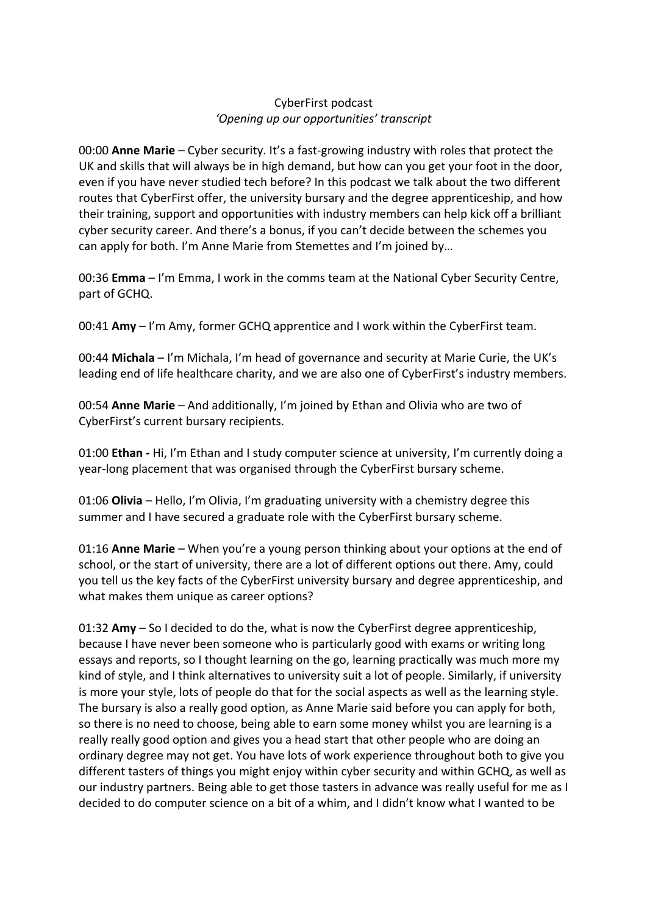## CyberFirst podcast *'Opening up our opportunities' transcript*

00:00 **Anne Marie** – Cyber security. It's a fast-growing industry with roles that protect the UK and skills that will always be in high demand, but how can you get your foot in the door, even if you have never studied tech before? In this podcast we talk about the two different routes that CyberFirst offer, the university bursary and the degree apprenticeship, and how their training, support and opportunities with industry members can help kick off a brilliant cyber security career. And there's a bonus, if you can't decide between the schemes you can apply for both. I'm Anne Marie from Stemettes and I'm joined by…

00:36 **Emma** – I'm Emma, I work in the comms team at the National Cyber Security Centre, part of GCHQ.

00:41 **Amy** – I'm Amy, former GCHQ apprentice and I work within the CyberFirst team.

00:44 **Michala** – I'm Michala, I'm head of governance and security at Marie Curie, the UK's leading end of life healthcare charity, and we are also one of CyberFirst's industry members.

00:54 **Anne Marie** – And additionally, I'm joined by Ethan and Olivia who are two of CyberFirst's current bursary recipients.

01:00 **Ethan -** Hi, I'm Ethan and I study computer science at university, I'm currently doing a year-long placement that was organised through the CyberFirst bursary scheme.

01:06 **Olivia** – Hello, I'm Olivia, I'm graduating university with a chemistry degree this summer and I have secured a graduate role with the CyberFirst bursary scheme.

01:16 **Anne Marie** – When you're a young person thinking about your options at the end of school, or the start of university, there are a lot of different options out there. Amy, could you tell us the key facts of the CyberFirst university bursary and degree apprenticeship, and what makes them unique as career options?

01:32 **Amy** – So I decided to do the, what is now the CyberFirst degree apprenticeship, because I have never been someone who is particularly good with exams or writing long essays and reports, so I thought learning on the go, learning practically was much more my kind of style, and I think alternatives to university suit a lot of people. Similarly, if university is more your style, lots of people do that for the social aspects as well as the learning style. The bursary is also a really good option, as Anne Marie said before you can apply for both, so there is no need to choose, being able to earn some money whilst you are learning is a really really good option and gives you a head start that other people who are doing an ordinary degree may not get. You have lots of work experience throughout both to give you different tasters of things you might enjoy within cyber security and within GCHQ, as well as our industry partners. Being able to get those tasters in advance was really useful for me as I decided to do computer science on a bit of a whim, and I didn't know what I wanted to be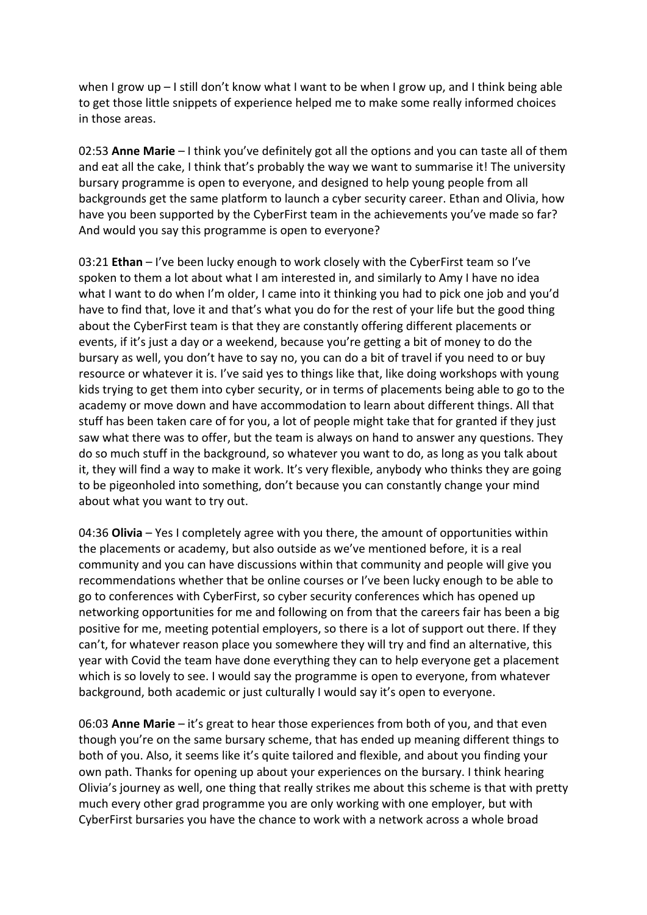when I grow up – I still don't know what I want to be when I grow up, and I think being able to get those little snippets of experience helped me to make some really informed choices in those areas.

02:53 **Anne Marie** – I think you've definitely got all the options and you can taste all of them and eat all the cake, I think that's probably the way we want to summarise it! The university bursary programme is open to everyone, and designed to help young people from all backgrounds get the same platform to launch a cyber security career. Ethan and Olivia, how have you been supported by the CyberFirst team in the achievements you've made so far? And would you say this programme is open to everyone?

03:21 **Ethan** – I've been lucky enough to work closely with the CyberFirst team so I've spoken to them a lot about what I am interested in, and similarly to Amy I have no idea what I want to do when I'm older, I came into it thinking you had to pick one job and you'd have to find that, love it and that's what you do for the rest of your life but the good thing about the CyberFirst team is that they are constantly offering different placements or events, if it's just a day or a weekend, because you're getting a bit of money to do the bursary as well, you don't have to say no, you can do a bit of travel if you need to or buy resource or whatever it is. I've said yes to things like that, like doing workshops with young kids trying to get them into cyber security, or in terms of placements being able to go to the academy or move down and have accommodation to learn about different things. All that stuff has been taken care of for you, a lot of people might take that for granted if they just saw what there was to offer, but the team is always on hand to answer any questions. They do so much stuff in the background, so whatever you want to do, as long as you talk about it, they will find a way to make it work. It's very flexible, anybody who thinks they are going to be pigeonholed into something, don't because you can constantly change your mind about what you want to try out.

04:36 **Olivia** – Yes I completely agree with you there, the amount of opportunities within the placements or academy, but also outside as we've mentioned before, it is a real community and you can have discussions within that community and people will give you recommendations whether that be online courses or I've been lucky enough to be able to go to conferences with CyberFirst, so cyber security conferences which has opened up networking opportunities for me and following on from that the careers fair has been a big positive for me, meeting potential employers, so there is a lot of support out there. If they can't, for whatever reason place you somewhere they will try and find an alternative, this year with Covid the team have done everything they can to help everyone get a placement which is so lovely to see. I would say the programme is open to everyone, from whatever background, both academic or just culturally I would say it's open to everyone.

06:03 **Anne Marie** – it's great to hear those experiences from both of you, and that even though you're on the same bursary scheme, that has ended up meaning different things to both of you. Also, it seems like it's quite tailored and flexible, and about you finding your own path. Thanks for opening up about your experiences on the bursary. I think hearing Olivia's journey as well, one thing that really strikes me about this scheme is that with pretty much every other grad programme you are only working with one employer, but with CyberFirst bursaries you have the chance to work with a network across a whole broad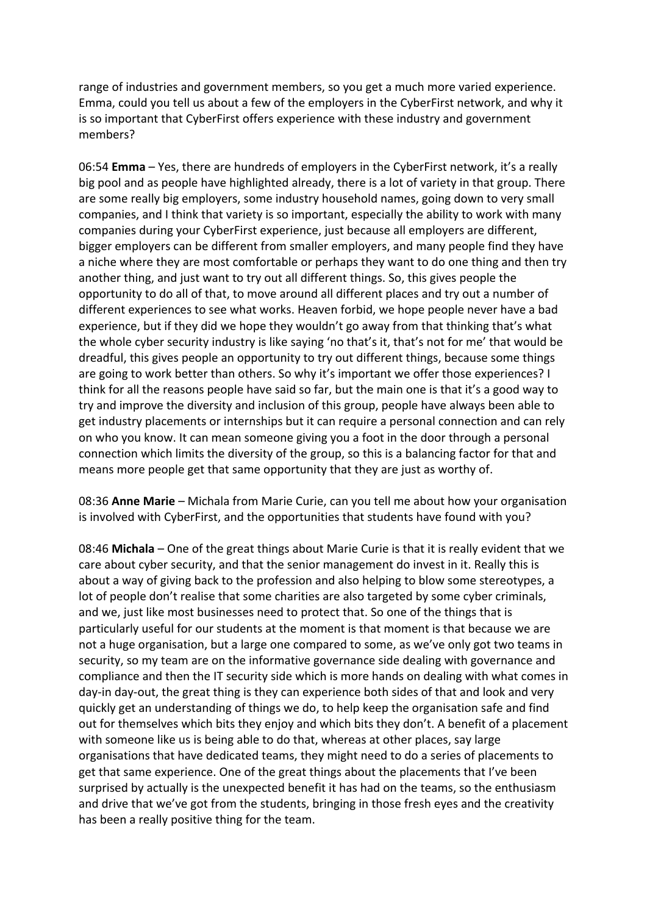range of industries and government members, so you get a much more varied experience. Emma, could you tell us about a few of the employers in the CyberFirst network, and why it is so important that CyberFirst offers experience with these industry and government members?

06:54 **Emma** – Yes, there are hundreds of employers in the CyberFirst network, it's a really big pool and as people have highlighted already, there is a lot of variety in that group. There are some really big employers, some industry household names, going down to very small companies, and I think that variety is so important, especially the ability to work with many companies during your CyberFirst experience, just because all employers are different, bigger employers can be different from smaller employers, and many people find they have a niche where they are most comfortable or perhaps they want to do one thing and then try another thing, and just want to try out all different things. So, this gives people the opportunity to do all of that, to move around all different places and try out a number of different experiences to see what works. Heaven forbid, we hope people never have a bad experience, but if they did we hope they wouldn't go away from that thinking that's what the whole cyber security industry is like saying 'no that's it, that's not for me' that would be dreadful, this gives people an opportunity to try out different things, because some things are going to work better than others. So why it's important we offer those experiences? I think for all the reasons people have said so far, but the main one is that it's a good way to try and improve the diversity and inclusion of this group, people have always been able to get industry placements or internships but it can require a personal connection and can rely on who you know. It can mean someone giving you a foot in the door through a personal connection which limits the diversity of the group, so this is a balancing factor for that and means more people get that same opportunity that they are just as worthy of.

08:36 **Anne Marie** – Michala from Marie Curie, can you tell me about how your organisation is involved with CyberFirst, and the opportunities that students have found with you?

08:46 **Michala** – One of the great things about Marie Curie is that it is really evident that we care about cyber security, and that the senior management do invest in it. Really this is about a way of giving back to the profession and also helping to blow some stereotypes, a lot of people don't realise that some charities are also targeted by some cyber criminals, and we, just like most businesses need to protect that. So one of the things that is particularly useful for our students at the moment is that moment is that because we are not a huge organisation, but a large one compared to some, as we've only got two teams in security, so my team are on the informative governance side dealing with governance and compliance and then the IT security side which is more hands on dealing with what comes in day-in day-out, the great thing is they can experience both sides of that and look and very quickly get an understanding of things we do, to help keep the organisation safe and find out for themselves which bits they enjoy and which bits they don't. A benefit of a placement with someone like us is being able to do that, whereas at other places, say large organisations that have dedicated teams, they might need to do a series of placements to get that same experience. One of the great things about the placements that I've been surprised by actually is the unexpected benefit it has had on the teams, so the enthusiasm and drive that we've got from the students, bringing in those fresh eyes and the creativity has been a really positive thing for the team.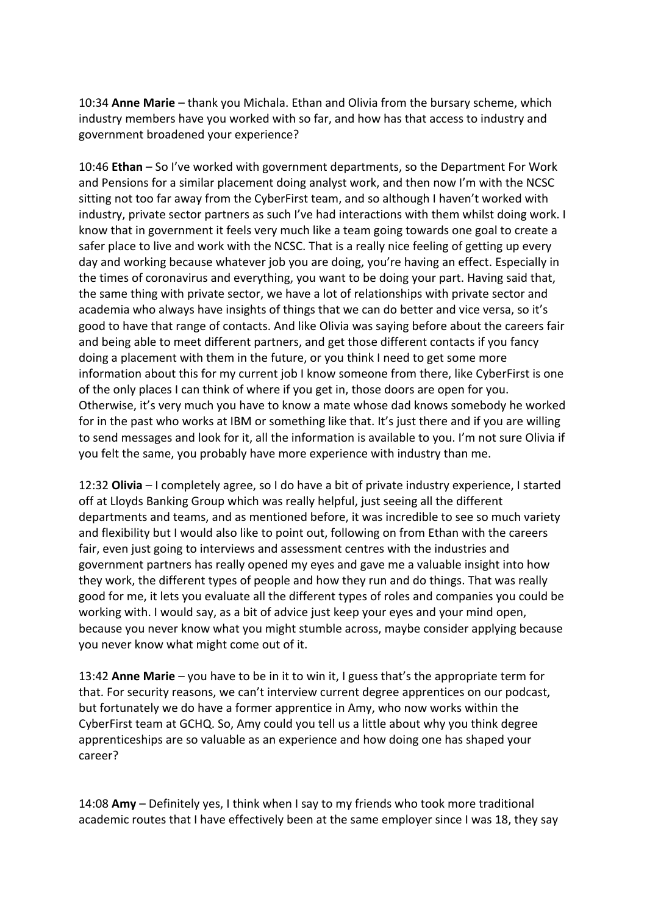10:34 **Anne Marie** – thank you Michala. Ethan and Olivia from the bursary scheme, which industry members have you worked with so far, and how has that access to industry and government broadened your experience?

10:46 **Ethan** – So I've worked with government departments, so the Department For Work and Pensions for a similar placement doing analyst work, and then now I'm with the NCSC sitting not too far away from the CyberFirst team, and so although I haven't worked with industry, private sector partners as such I've had interactions with them whilst doing work. I know that in government it feels very much like a team going towards one goal to create a safer place to live and work with the NCSC. That is a really nice feeling of getting up every day and working because whatever job you are doing, you're having an effect. Especially in the times of coronavirus and everything, you want to be doing your part. Having said that, the same thing with private sector, we have a lot of relationships with private sector and academia who always have insights of things that we can do better and vice versa, so it's good to have that range of contacts. And like Olivia was saying before about the careers fair and being able to meet different partners, and get those different contacts if you fancy doing a placement with them in the future, or you think I need to get some more information about this for my current job I know someone from there, like CyberFirst is one of the only places I can think of where if you get in, those doors are open for you. Otherwise, it's very much you have to know a mate whose dad knows somebody he worked for in the past who works at IBM or something like that. It's just there and if you are willing to send messages and look for it, all the information is available to you. I'm not sure Olivia if you felt the same, you probably have more experience with industry than me.

12:32 **Olivia** – I completely agree, so I do have a bit of private industry experience, I started off at Lloyds Banking Group which was really helpful, just seeing all the different departments and teams, and as mentioned before, it was incredible to see so much variety and flexibility but I would also like to point out, following on from Ethan with the careers fair, even just going to interviews and assessment centres with the industries and government partners has really opened my eyes and gave me a valuable insight into how they work, the different types of people and how they run and do things. That was really good for me, it lets you evaluate all the different types of roles and companies you could be working with. I would say, as a bit of advice just keep your eyes and your mind open, because you never know what you might stumble across, maybe consider applying because you never know what might come out of it.

13:42 **Anne Marie** – you have to be in it to win it, I guess that's the appropriate term for that. For security reasons, we can't interview current degree apprentices on our podcast, but fortunately we do have a former apprentice in Amy, who now works within the CyberFirst team at GCHQ. So, Amy could you tell us a little about why you think degree apprenticeships are so valuable as an experience and how doing one has shaped your career?

14:08 **Amy** – Definitely yes, I think when I say to my friends who took more traditional academic routes that I have effectively been at the same employer since I was 18, they say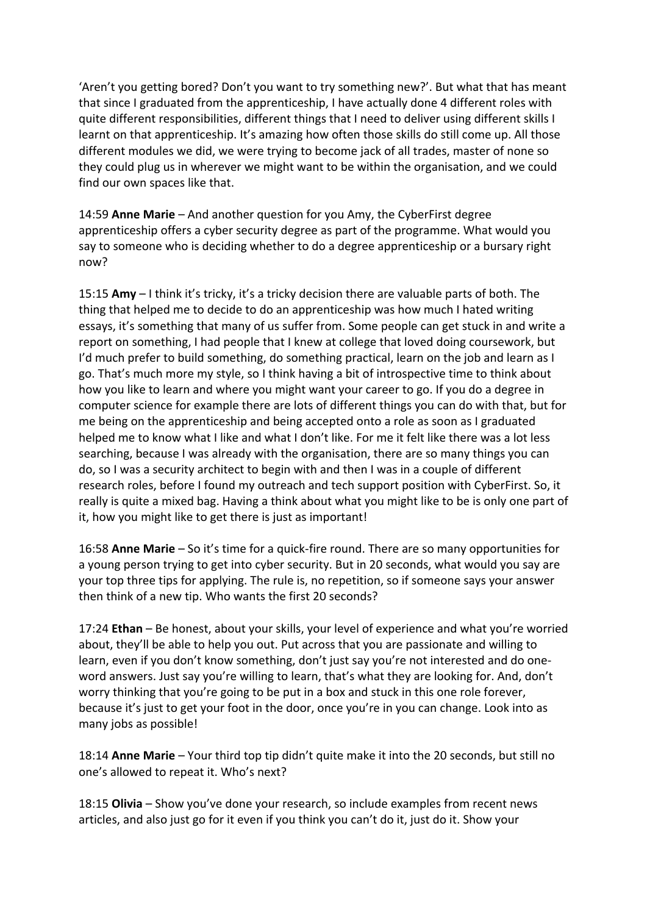'Aren't you getting bored? Don't you want to try something new?'. But what that has meant that since I graduated from the apprenticeship, I have actually done 4 different roles with quite different responsibilities, different things that I need to deliver using different skills I learnt on that apprenticeship. It's amazing how often those skills do still come up. All those different modules we did, we were trying to become jack of all trades, master of none so they could plug us in wherever we might want to be within the organisation, and we could find our own spaces like that.

14:59 **Anne Marie** – And another question for you Amy, the CyberFirst degree apprenticeship offers a cyber security degree as part of the programme. What would you say to someone who is deciding whether to do a degree apprenticeship or a bursary right now?

15:15 **Amy** – I think it's tricky, it's a tricky decision there are valuable parts of both. The thing that helped me to decide to do an apprenticeship was how much I hated writing essays, it's something that many of us suffer from. Some people can get stuck in and write a report on something, I had people that I knew at college that loved doing coursework, but I'd much prefer to build something, do something practical, learn on the job and learn as I go. That's much more my style, so I think having a bit of introspective time to think about how you like to learn and where you might want your career to go. If you do a degree in computer science for example there are lots of different things you can do with that, but for me being on the apprenticeship and being accepted onto a role as soon as I graduated helped me to know what I like and what I don't like. For me it felt like there was a lot less searching, because I was already with the organisation, there are so many things you can do, so I was a security architect to begin with and then I was in a couple of different research roles, before I found my outreach and tech support position with CyberFirst. So, it really is quite a mixed bag. Having a think about what you might like to be is only one part of it, how you might like to get there is just as important!

16:58 **Anne Marie** – So it's time for a quick-fire round. There are so many opportunities for a young person trying to get into cyber security. But in 20 seconds, what would you say are your top three tips for applying. The rule is, no repetition, so if someone says your answer then think of a new tip. Who wants the first 20 seconds?

17:24 **Ethan** – Be honest, about your skills, your level of experience and what you're worried about, they'll be able to help you out. Put across that you are passionate and willing to learn, even if you don't know something, don't just say you're not interested and do oneword answers. Just say you're willing to learn, that's what they are looking for. And, don't worry thinking that you're going to be put in a box and stuck in this one role forever, because it's just to get your foot in the door, once you're in you can change. Look into as many jobs as possible!

18:14 **Anne Marie** – Your third top tip didn't quite make it into the 20 seconds, but still no one's allowed to repeat it. Who's next?

18:15 **Olivia** – Show you've done your research, so include examples from recent news articles, and also just go for it even if you think you can't do it, just do it. Show your